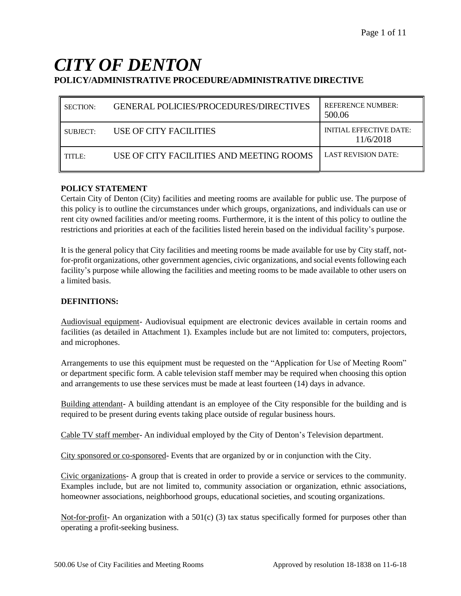# *CITY OF DENTON* **POLICY/ADMINISTRATIVE PROCEDURE/ADMINISTRATIVE DIRECTIVE**

| <b>SECTION:</b> | <b>GENERAL POLICIES/PROCEDURES/DIRECTIVES</b> | <b>REFERENCE NUMBER:</b><br>500.06          |
|-----------------|-----------------------------------------------|---------------------------------------------|
| SUBJECT:        | USE OF CITY FACILITIES                        | <b>INITIAL EFFECTIVE DATE:</b><br>11/6/2018 |
| TITLE:          | USE OF CITY FACILITIES AND MEETING ROOMS      | <b>LAST REVISION DATE:</b>                  |

#### **POLICY STATEMENT**

Certain City of Denton (City) facilities and meeting rooms are available for public use. The purpose of this policy is to outline the circumstances under which groups, organizations, and individuals can use or rent city owned facilities and/or meeting rooms. Furthermore, it is the intent of this policy to outline the restrictions and priorities at each of the facilities listed herein based on the individual facility's purpose.

It is the general policy that City facilities and meeting rooms be made available for use by City staff, notfor-profit organizations, other government agencies, civic organizations, and social events following each facility's purpose while allowing the facilities and meeting rooms to be made available to other users on a limited basis.

#### **DEFINITIONS:**

Audiovisual equipment- Audiovisual equipment are electronic devices available in certain rooms and facilities (as detailed in Attachment 1). Examples include but are not limited to: computers, projectors, and microphones.

Arrangements to use this equipment must be requested on the "Application for Use of Meeting Room" or department specific form. A cable television staff member may be required when choosing this option and arrangements to use these services must be made at least fourteen (14) days in advance.

Building attendant- A building attendant is an employee of the City responsible for the building and is required to be present during events taking place outside of regular business hours.

Cable TV staff member- An individual employed by the City of Denton's Television department.

City sponsored or co-sponsored- Events that are organized by or in conjunction with the City.

Civic organizations- A group that is created in order to provide a service or services to the community. Examples include, but are not limited to, community association or organization, ethnic associations, homeowner associations, neighborhood groups, educational societies, and scouting organizations.

Not-for-profit- An organization with a  $501(c)$  (3) tax status specifically formed for purposes other than operating a profit-seeking business.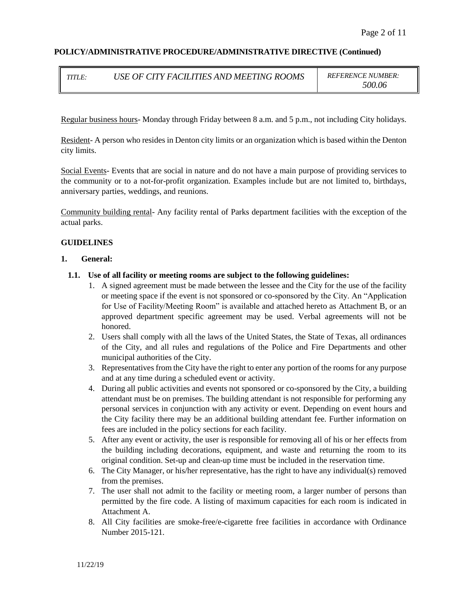| TITLE: | USE OF CITY FACILITIES AND MEETING ROOMS |  |
|--------|------------------------------------------|--|
|        |                                          |  |

 $REFERENCE NUMBER:$ *500.06*

Regular business hours- Monday through Friday between 8 a.m. and 5 p.m., not including City holidays.

Resident- A person who resides in Denton city limits or an organization which is based within the Denton city limits.

Social Events- Events that are social in nature and do not have a main purpose of providing services to the community or to a not-for-profit organization. Examples include but are not limited to, birthdays, anniversary parties, weddings, and reunions.

Community building rental- Any facility rental of Parks department facilities with the exception of the actual parks.

#### **GUIDELINES**

#### **1. General:**

- **1.1. Use of all facility or meeting rooms are subject to the following guidelines:**
	- 1. A signed agreement must be made between the lessee and the City for the use of the facility or meeting space if the event is not sponsored or co-sponsored by the City. An "Application for Use of Facility/Meeting Room" is available and attached hereto as Attachment B, or an approved department specific agreement may be used. Verbal agreements will not be honored.
	- 2. Users shall comply with all the laws of the United States, the State of Texas, all ordinances of the City, and all rules and regulations of the Police and Fire Departments and other municipal authorities of the City.
	- 3. Representatives from the City have the right to enter any portion of the rooms for any purpose and at any time during a scheduled event or activity.
	- 4. During all public activities and events not sponsored or co-sponsored by the City, a building attendant must be on premises. The building attendant is not responsible for performing any personal services in conjunction with any activity or event. Depending on event hours and the City facility there may be an additional building attendant fee. Further information on fees are included in the policy sections for each facility.
	- 5. After any event or activity, the user is responsible for removing all of his or her effects from the building including decorations, equipment, and waste and returning the room to its original condition. Set-up and clean-up time must be included in the reservation time.
	- 6. The City Manager, or his/her representative, has the right to have any individual(s) removed from the premises.
	- 7. The user shall not admit to the facility or meeting room, a larger number of persons than permitted by the fire code. A listing of maximum capacities for each room is indicated in Attachment A.
	- 8. All City facilities are smoke-free/e-cigarette free facilities in accordance with Ordinance Number 2015-121.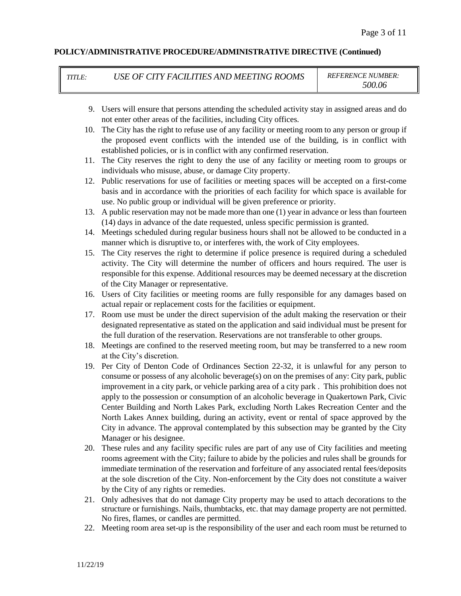*TITLE: USE OF CITY FACILITIES AND MEETING ROOMS REFERENCE NUMBER:*

*500.06*

- 9. Users will ensure that persons attending the scheduled activity stay in assigned areas and do not enter other areas of the facilities, including City offices.
- 10. The City has the right to refuse use of any facility or meeting room to any person or group if the proposed event conflicts with the intended use of the building, is in conflict with established policies, or is in conflict with any confirmed reservation.
- 11. The City reserves the right to deny the use of any facility or meeting room to groups or individuals who misuse, abuse, or damage City property.
- 12. Public reservations for use of facilities or meeting spaces will be accepted on a first-come basis and in accordance with the priorities of each facility for which space is available for use. No public group or individual will be given preference or priority.
- 13. A public reservation may not be made more than one (1) year in advance or less than fourteen (14) days in advance of the date requested, unless specific permission is granted.
- 14. Meetings scheduled during regular business hours shall not be allowed to be conducted in a manner which is disruptive to, or interferes with, the work of City employees.
- 15. The City reserves the right to determine if police presence is required during a scheduled activity. The City will determine the number of officers and hours required. The user is responsible for this expense. Additional resources may be deemed necessary at the discretion of the City Manager or representative.
- 16. Users of City facilities or meeting rooms are fully responsible for any damages based on actual repair or replacement costs for the facilities or equipment.
- 17. Room use must be under the direct supervision of the adult making the reservation or their designated representative as stated on the application and said individual must be present for the full duration of the reservation. Reservations are not transferable to other groups.
- 18. Meetings are confined to the reserved meeting room, but may be transferred to a new room at the City's discretion.
- 19. Per City of Denton Code of Ordinances Section 22-32, it is unlawful for any person to consume or possess of any alcoholic beverage(s) on on the premises of any: City park, public improvement in a city park, or vehicle parking area of a city park . This prohibition does not apply to the possession or consumption of an alcoholic beverage in Quakertown Park, Civic Center Building and North Lakes Park, excluding North Lakes Recreation Center and the North Lakes Annex building, during an activity, event or rental of space approved by the City in advance. The approval contemplated by this subsection may be granted by the City Manager or his designee.
- 20. These rules and any facility specific rules are part of any use of City facilities and meeting rooms agreement with the City; failure to abide by the policies and rules shall be grounds for immediate termination of the reservation and forfeiture of any associated rental fees/deposits at the sole discretion of the City. Non-enforcement by the City does not constitute a waiver by the City of any rights or remedies.
- 21. Only adhesives that do not damage City property may be used to attach decorations to the structure or furnishings. Nails, thumbtacks, etc. that may damage property are not permitted. No fires, flames, or candles are permitted.
- 22. Meeting room area set-up is the responsibility of the user and each room must be returned to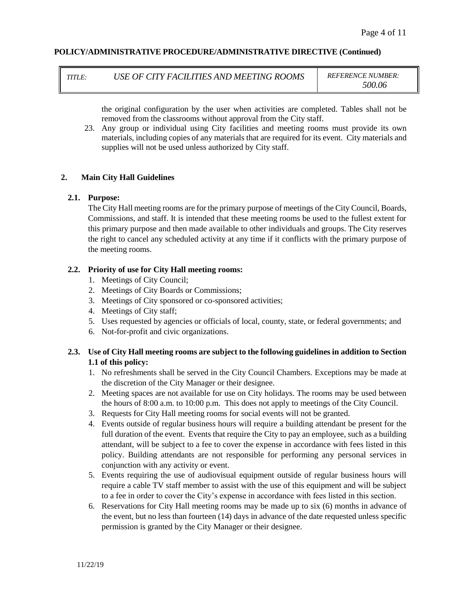*TITLE: USE OF CITY FACILITIES AND MEETING ROOMS REFERENCE NUMBER:*

*500.06*

the original configuration by the user when activities are completed. Tables shall not be removed from the classrooms without approval from the City staff.

23. Any group or individual using City facilities and meeting rooms must provide its own materials, including copies of any materials that are required for its event. City materials and supplies will not be used unless authorized by City staff.

## **2. Main City Hall Guidelines**

#### **2.1. Purpose:**

The City Hall meeting rooms are for the primary purpose of meetings of the City Council, Boards, Commissions, and staff. It is intended that these meeting rooms be used to the fullest extent for this primary purpose and then made available to other individuals and groups. The City reserves the right to cancel any scheduled activity at any time if it conflicts with the primary purpose of the meeting rooms.

## **2.2. Priority of use for City Hall meeting rooms:**

- 1. Meetings of City Council;
- 2. Meetings of City Boards or Commissions;
- 3. Meetings of City sponsored or co-sponsored activities;
- 4. Meetings of City staff;
- 5. Uses requested by agencies or officials of local, county, state, or federal governments; and
- 6. Not-for-profit and civic organizations.

# **2.3. Use of City Hall meeting rooms are subject to the following guidelines in addition to Section 1.1 of this policy:**

- 1. No refreshments shall be served in the City Council Chambers. Exceptions may be made at the discretion of the City Manager or their designee.
- 2. Meeting spaces are not available for use on City holidays. The rooms may be used between the hours of 8:00 a.m. to 10:00 p.m. This does not apply to meetings of the City Council.
- 3. Requests for City Hall meeting rooms for social events will not be granted.
- 4. Events outside of regular business hours will require a building attendant be present for the full duration of the event. Events that require the City to pay an employee, such as a building attendant, will be subject to a fee to cover the expense in accordance with fees listed in this policy. Building attendants are not responsible for performing any personal services in conjunction with any activity or event.
- 5. Events requiring the use of audiovisual equipment outside of regular business hours will require a cable TV staff member to assist with the use of this equipment and will be subject to a fee in order to cover the City's expense in accordance with fees listed in this section.
- 6. Reservations for City Hall meeting rooms may be made up to six (6) months in advance of the event, but no less than fourteen (14) days in advance of the date requested unless specific permission is granted by the City Manager or their designee.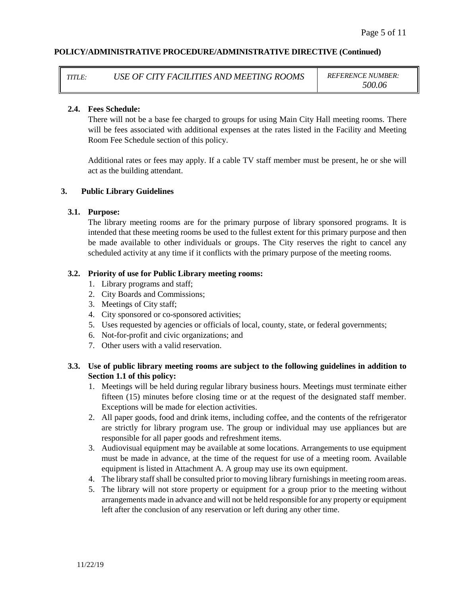*TITLE: USE OF CITY FACILITIES AND MEETING ROOMS REFERENCE NUMBER:*

*500.06*

#### **2.4. Fees Schedule:**

There will not be a base fee charged to groups for using Main City Hall meeting rooms. There will be fees associated with additional expenses at the rates listed in the Facility and Meeting Room Fee Schedule section of this policy.

Additional rates or fees may apply. If a cable TV staff member must be present, he or she will act as the building attendant.

#### **3. Public Library Guidelines**

#### **3.1. Purpose:**

The library meeting rooms are for the primary purpose of library sponsored programs. It is intended that these meeting rooms be used to the fullest extent for this primary purpose and then be made available to other individuals or groups. The City reserves the right to cancel any scheduled activity at any time if it conflicts with the primary purpose of the meeting rooms.

#### **3.2. Priority of use for Public Library meeting rooms:**

- 1. Library programs and staff;
- 2. City Boards and Commissions;
- 3. Meetings of City staff;
- 4. City sponsored or co-sponsored activities;
- 5. Uses requested by agencies or officials of local, county, state, or federal governments;
- 6. Not-for-profit and civic organizations; and
- 7. Other users with a valid reservation.

## **3.3. Use of public library meeting rooms are subject to the following guidelines in addition to Section 1.1 of this policy:**

- 1. Meetings will be held during regular library business hours. Meetings must terminate either fifteen (15) minutes before closing time or at the request of the designated staff member. Exceptions will be made for election activities.
- 2. All paper goods, food and drink items, including coffee, and the contents of the refrigerator are strictly for library program use. The group or individual may use appliances but are responsible for all paper goods and refreshment items.
- 3. Audiovisual equipment may be available at some locations. Arrangements to use equipment must be made in advance, at the time of the request for use of a meeting room. Available equipment is listed in Attachment A. A group may use its own equipment.
- 4. The library staff shall be consulted prior to moving library furnishings in meeting room areas.
- 5. The library will not store property or equipment for a group prior to the meeting without arrangements made in advance and will not be held responsible for any property or equipment left after the conclusion of any reservation or left during any other time.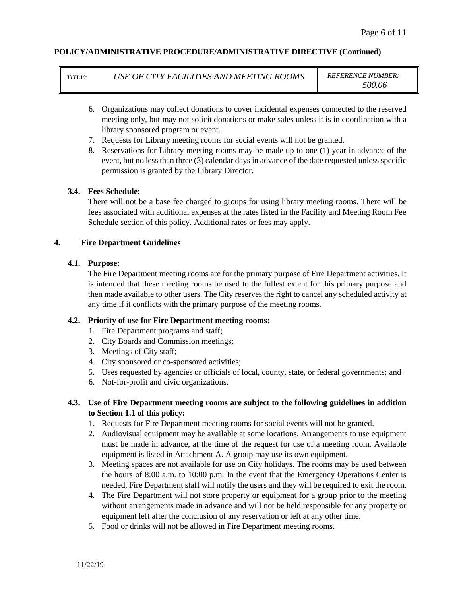| TITLE: | USE OF CITY FACILITIES AND MEETING ROOMS | <b>REFERENCE NUMBER:</b> |
|--------|------------------------------------------|--------------------------|
|        |                                          |                          |

*500.06*

- 6. Organizations may collect donations to cover incidental expenses connected to the reserved meeting only, but may not solicit donations or make sales unless it is in coordination with a library sponsored program or event.
- 7. Requests for Library meeting rooms for social events will not be granted.
- 8. Reservations for Library meeting rooms may be made up to one (1) year in advance of the event, but no less than three (3) calendar days in advance of the date requested unless specific permission is granted by the Library Director.

#### **3.4. Fees Schedule:**

There will not be a base fee charged to groups for using library meeting rooms. There will be fees associated with additional expenses at the rates listed in the Facility and Meeting Room Fee Schedule section of this policy. Additional rates or fees may apply.

## **4. Fire Department Guidelines**

## **4.1. Purpose:**

The Fire Department meeting rooms are for the primary purpose of Fire Department activities. It is intended that these meeting rooms be used to the fullest extent for this primary purpose and then made available to other users. The City reserves the right to cancel any scheduled activity at any time if it conflicts with the primary purpose of the meeting rooms.

# **4.2. Priority of use for Fire Department meeting rooms:**

- 1. Fire Department programs and staff;
- 2. City Boards and Commission meetings;
- 3. Meetings of City staff;
- 4. City sponsored or co-sponsored activities;
- 5. Uses requested by agencies or officials of local, county, state, or federal governments; and
- 6. Not-for-profit and civic organizations.

# **4.3. Use of Fire Department meeting rooms are subject to the following guidelines in addition to Section 1.1 of this policy:**

- 1. Requests for Fire Department meeting rooms for social events will not be granted.
- 2. Audiovisual equipment may be available at some locations. Arrangements to use equipment must be made in advance, at the time of the request for use of a meeting room. Available equipment is listed in Attachment A. A group may use its own equipment.
- 3. Meeting spaces are not available for use on City holidays. The rooms may be used between the hours of 8:00 a.m. to 10:00 p.m. In the event that the Emergency Operations Center is needed, Fire Department staff will notify the users and they will be required to exit the room.
- 4. The Fire Department will not store property or equipment for a group prior to the meeting without arrangements made in advance and will not be held responsible for any property or equipment left after the conclusion of any reservation or left at any other time.
- 5. Food or drinks will not be allowed in Fire Department meeting rooms.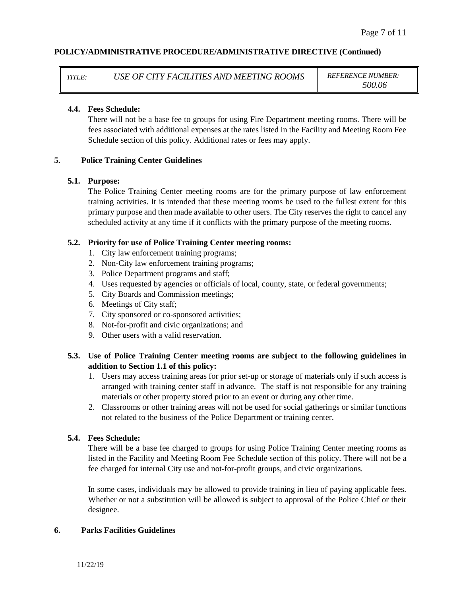*TITLE: USE OF CITY FACILITIES AND MEETING ROOMS REFERENCE NUMBER:*

*500.06*

#### **4.4. Fees Schedule:**

There will not be a base fee to groups for using Fire Department meeting rooms. There will be fees associated with additional expenses at the rates listed in the Facility and Meeting Room Fee Schedule section of this policy. Additional rates or fees may apply.

## **5. Police Training Center Guidelines**

#### **5.1. Purpose:**

The Police Training Center meeting rooms are for the primary purpose of law enforcement training activities. It is intended that these meeting rooms be used to the fullest extent for this primary purpose and then made available to other users. The City reserves the right to cancel any scheduled activity at any time if it conflicts with the primary purpose of the meeting rooms.

## **5.2. Priority for use of Police Training Center meeting rooms:**

- 1. City law enforcement training programs;
- 2. Non-City law enforcement training programs;
- 3. Police Department programs and staff;
- 4. Uses requested by agencies or officials of local, county, state, or federal governments;
- 5. City Boards and Commission meetings;
- 6. Meetings of City staff;
- 7. City sponsored or co-sponsored activities;
- 8. Not-for-profit and civic organizations; and
- 9. Other users with a valid reservation.

# **5.3. Use of Police Training Center meeting rooms are subject to the following guidelines in addition to Section 1.1 of this policy:**

- 1. Users may access training areas for prior set-up or storage of materials only if such access is arranged with training center staff in advance. The staff is not responsible for any training materials or other property stored prior to an event or during any other time.
- 2. Classrooms or other training areas will not be used for social gatherings or similar functions not related to the business of the Police Department or training center.

#### **5.4. Fees Schedule:**

There will be a base fee charged to groups for using Police Training Center meeting rooms as listed in the Facility and Meeting Room Fee Schedule section of this policy. There will not be a fee charged for internal City use and not-for-profit groups, and civic organizations.

In some cases, individuals may be allowed to provide training in lieu of paying applicable fees. Whether or not a substitution will be allowed is subject to approval of the Police Chief or their designee.

## **6. Parks Facilities Guidelines**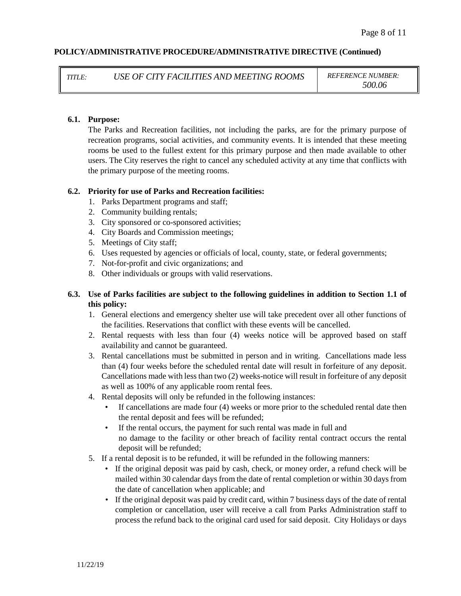*TITLE: USE OF CITY FACILITIES AND MEETING ROOMS REFERENCE NUMBER:*

*500.06*

#### **6.1. Purpose:**

The Parks and Recreation facilities, not including the parks, are for the primary purpose of recreation programs, social activities, and community events. It is intended that these meeting rooms be used to the fullest extent for this primary purpose and then made available to other users. The City reserves the right to cancel any scheduled activity at any time that conflicts with the primary purpose of the meeting rooms.

#### **6.2. Priority for use of Parks and Recreation facilities:**

- 1. Parks Department programs and staff;
- 2. Community building rentals;
- 3. City sponsored or co-sponsored activities;
- 4. City Boards and Commission meetings;
- 5. Meetings of City staff;
- 6. Uses requested by agencies or officials of local, county, state, or federal governments;
- 7. Not-for-profit and civic organizations; and
- 8. Other individuals or groups with valid reservations.

# **6.3. Use of Parks facilities are subject to the following guidelines in addition to Section 1.1 of this policy:**

- 1. General elections and emergency shelter use will take precedent over all other functions of the facilities. Reservations that conflict with these events will be cancelled.
- 2. Rental requests with less than four (4) weeks notice will be approved based on staff availability and cannot be guaranteed.
- 3. Rental cancellations must be submitted in person and in writing. Cancellations made less than (4) four weeks before the scheduled rental date will result in forfeiture of any deposit. Cancellations made with less than two (2) weeks-notice will result in forfeiture of any deposit as well as 100% of any applicable room rental fees.
- 4. Rental deposits will only be refunded in the following instances:
	- If cancellations are made four (4) weeks or more prior to the scheduled rental date then the rental deposit and fees will be refunded;
	- If the rental occurs, the payment for such rental was made in full and no damage to the facility or other breach of facility rental contract occurs the rental deposit will be refunded;
- 5. If a rental deposit is to be refunded, it will be refunded in the following manners:
	- If the original deposit was paid by cash, check, or money order, a refund check will be mailed within 30 calendar days from the date of rental completion or within 30 days from the date of cancellation when applicable; and
	- If the original deposit was paid by credit card, within 7 business days of the date of rental completion or cancellation, user will receive a call from Parks Administration staff to process the refund back to the original card used for said deposit. City Holidays or days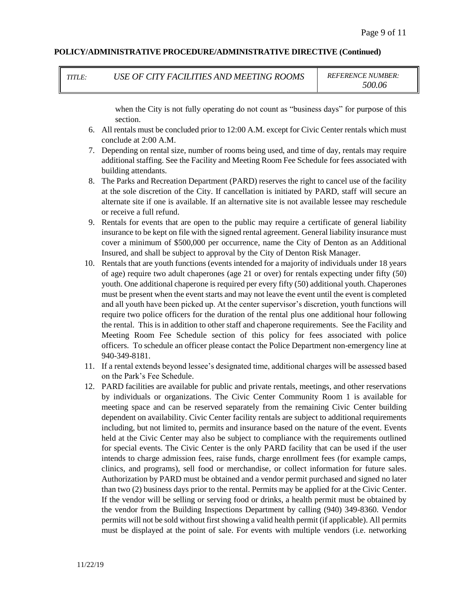| <b>TITLE:</b> | USE OF CITY FACILITIES AND MEETING ROOMS |
|---------------|------------------------------------------|
|               |                                          |

 $REFERENCE NUMBER:$ *500.06*

when the City is not fully operating do not count as "business days" for purpose of this section.

- 6. All rentals must be concluded prior to 12:00 A.M. except for Civic Center rentals which must conclude at 2:00 A.M.
- 7. Depending on rental size, number of rooms being used, and time of day, rentals may require additional staffing. See the Facility and Meeting Room Fee Schedule for fees associated with building attendants.
- 8. The Parks and Recreation Department (PARD) reserves the right to cancel use of the facility at the sole discretion of the City. If cancellation is initiated by PARD, staff will secure an alternate site if one is available. If an alternative site is not available lessee may reschedule or receive a full refund.
- 9. Rentals for events that are open to the public may require a certificate of general liability insurance to be kept on file with the signed rental agreement. General liability insurance must cover a minimum of \$500,000 per occurrence, name the City of Denton as an Additional Insured, and shall be subject to approval by the City of Denton Risk Manager.
- 10. Rentals that are youth functions (events intended for a majority of individuals under 18 years of age) require two adult chaperones (age 21 or over) for rentals expecting under fifty (50) youth. One additional chaperone is required per every fifty (50) additional youth. Chaperones must be present when the event starts and may not leave the event until the event is completed and all youth have been picked up. At the center supervisor's discretion, youth functions will require two police officers for the duration of the rental plus one additional hour following the rental. This is in addition to other staff and chaperone requirements. See the Facility and Meeting Room Fee Schedule section of this policy for fees associated with police officers. To schedule an officer please contact the Police Department non-emergency line at 940-349-8181.
- 11. If a rental extends beyond lessee's designated time, additional charges will be assessed based on the Park's Fee Schedule.
- 12. PARD facilities are available for public and private rentals, meetings, and other reservations by individuals or organizations. The Civic Center Community Room 1 is available for meeting space and can be reserved separately from the remaining Civic Center building dependent on availability. Civic Center facility rentals are subject to additional requirements including, but not limited to, permits and insurance based on the nature of the event. Events held at the Civic Center may also be subject to compliance with the requirements outlined for special events. The Civic Center is the only PARD facility that can be used if the user intends to charge admission fees, raise funds, charge enrollment fees (for example camps, clinics, and programs), sell food or merchandise, or collect information for future sales. Authorization by PARD must be obtained and a vendor permit purchased and signed no later than two (2) business days prior to the rental. Permits may be applied for at the Civic Center. If the vendor will be selling or serving food or drinks, a health permit must be obtained by the vendor from the Building Inspections Department by calling (940) 349-8360. Vendor permits will not be sold without first showing a valid health permit (if applicable). All permits must be displayed at the point of sale. For events with multiple vendors (i.e. networking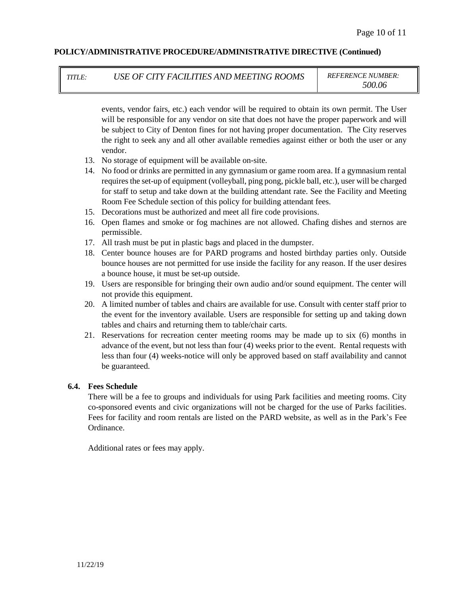*TITLE: USE OF CITY FACILITIES AND MEETING ROOMS REFERENCE NUMBER:*

*500.06*

events, vendor fairs, etc.) each vendor will be required to obtain its own permit. The User will be responsible for any vendor on site that does not have the proper paperwork and will be subject to City of Denton fines for not having proper documentation. The City reserves the right to seek any and all other available remedies against either or both the user or any vendor.

- 13. No storage of equipment will be available on-site.
- 14. No food or drinks are permitted in any gymnasium or game room area. If a gymnasium rental requires the set-up of equipment (volleyball, ping pong, pickle ball, etc.), user will be charged for staff to setup and take down at the building attendant rate. See the Facility and Meeting Room Fee Schedule section of this policy for building attendant fees.
- 15. Decorations must be authorized and meet all fire code provisions.
- 16. Open flames and smoke or fog machines are not allowed. Chafing dishes and sternos are permissible.
- 17. All trash must be put in plastic bags and placed in the dumpster.
- 18. Center bounce houses are for PARD programs and hosted birthday parties only. Outside bounce houses are not permitted for use inside the facility for any reason. If the user desires a bounce house, it must be set-up outside.
- 19. Users are responsible for bringing their own audio and/or sound equipment. The center will not provide this equipment.
- 20. A limited number of tables and chairs are available for use. Consult with center staff prior to the event for the inventory available. Users are responsible for setting up and taking down tables and chairs and returning them to table/chair carts.
- 21. Reservations for recreation center meeting rooms may be made up to six (6) months in advance of the event, but not less than four (4) weeks prior to the event. Rental requests with less than four (4) weeks-notice will only be approved based on staff availability and cannot be guaranteed.

# **6.4. Fees Schedule**

There will be a fee to groups and individuals for using Park facilities and meeting rooms. City co-sponsored events and civic organizations will not be charged for the use of Parks facilities. Fees for facility and room rentals are listed on the PARD website, as well as in the Park's Fee Ordinance.

Additional rates or fees may apply.